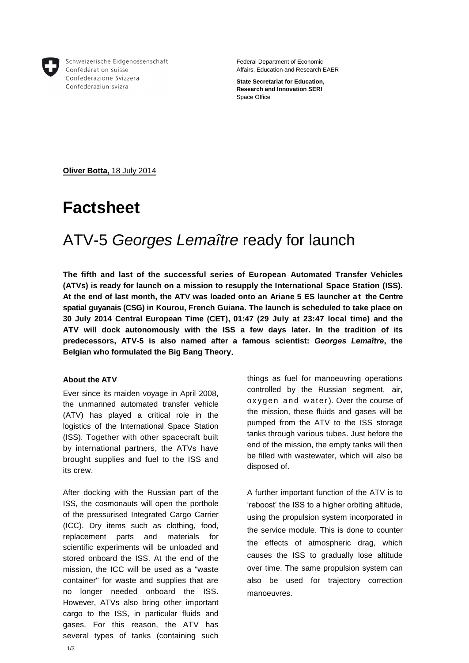

Schweizerische Eidgenossenschaft Confédération suisse Confederazione Svizzera Confederaziun svizra

Federal Department of Economic Affairs, Education and Research EAER

**State Secretariat for Education, Research and Innovation SERI** Space Office

**Oliver Botta,** 18 July 2014

# **Factsheet**

# ATV-5 *Georges Lemaître* ready for launch

**The fifth and last of the successful series of European Automated Transfer Vehicles (ATVs) is ready for launch on a mission to resupply the International Space Station (ISS). At the end of last month, the ATV was loaded onto an Ariane 5 ES launcher at the Centre spatial guyanais (CSG) in Kourou, French Guiana. The launch is scheduled to take place on 30 July 2014 Central European Time (CET), 01:47 (29 July at 23:47 local time) and the ATV will dock autonomously with the ISS a few days later. In the tradition of its predecessors, ATV-5 is also named after a famous scientist:** *Georges Lemaître***, the Belgian who formulated the Big Bang Theory.**

#### **About the ATV**

Ever since its maiden voyage in April 2008, the unmanned automated transfer vehicle (ATV) has played a critical role in the logistics of the International Space Station (ISS). Together with other spacecraft built by international partners, the ATVs have brought supplies and fuel to the ISS and its crew.

After docking with the Russian part of the ISS, the cosmonauts will open the porthole of the pressurised Integrated Cargo Carrier (ICC). Dry items such as clothing, food, replacement parts and materials for scientific experiments will be unloaded and stored onboard the ISS. At the end of the mission, the ICC will be used as a "waste container" for waste and supplies that are no longer needed onboard the ISS. However, ATVs also bring other important cargo to the ISS, in particular fluids and gases. For this reason, the ATV has several types of tanks (containing such

things as fuel for manoeuvring operations controlled by the Russian segment, air, oxygen and water). Over the course of the mission, these fluids and gases will be pumped from the ATV to the ISS storage tanks through various tubes. Just before the end of the mission, the empty tanks will then be filled with wastewater, which will also be disposed of.

A further important function of the ATV is to 'reboost' the ISS to a higher orbiting altitude, using the propulsion system incorporated in the service module. This is done to counter the effects of atmospheric drag, which causes the ISS to gradually lose altitude over time. The same propulsion system can also be used for trajectory correction manoeuvres.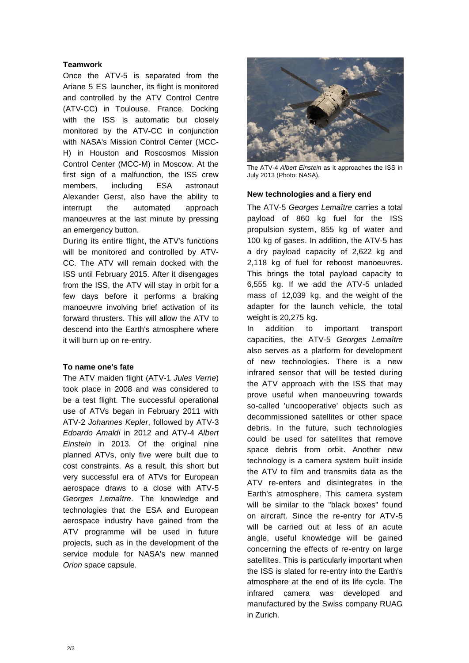### **Teamwork**

Once the ATV-5 is separated from the Ariane 5 ES launcher, its flight is monitored and controlled by the ATV Control Centre (ATV-CC) in Toulouse, France. Docking with the ISS is automatic but closely monitored by the ATV-CC in conjunction with NASA's Mission Control Center (MCC-H) in Houston and Roscosmos Mission Control Center (MCC-M) in Moscow. At the first sign of a malfunction, the ISS crew members, including ESA astronaut Alexander Gerst, also have the ability to interrupt the automated approach manoeuvres at the last minute by pressing an emergency button.

During its entire flight, the ATV's functions will be monitored and controlled by ATV-CC. The ATV will remain docked with the ISS until February 2015. After it disengages from the ISS, the ATV will stay in orbit for a few days before it performs a braking manoeuvre involving brief activation of its forward thrusters. This will allow the ATV to descend into the Earth's atmosphere where it will burn up on re-entry.

#### **To name one's fate**

The ATV maiden flight (ATV-1 *Jules Verne*) took place in 2008 and was considered to be a test flight. The successful operational use of ATVs began in February 2011 with ATV-2 *Johannes Kepler*, followed by ATV-3 *Edoardo Amaldi* in 2012 and ATV-4 *Albert Einstein* in 2013. Of the original nine planned ATVs, only five were built due to cost constraints. As a result, this short but very successful era of ATVs for European aerospace draws to a close with ATV-5 *Georges Lemaître*. The knowledge and technologies that the ESA and European aerospace industry have gained from the ATV programme will be used in future projects, such as in the development of the service module for NASA's new manned *Orion* space capsule.



The ATV-4 *Albert Einstein* as it approaches the ISS in July 2013 (Photo: NASA).

#### **New technologies and a fiery end**

The ATV-5 *Georges Lemaître* carries a total payload of 860 kg fuel for the ISS propulsion system, 855 kg of water and 100 kg of gases. In addition, the ATV-5 has a dry payload capacity of 2,622 kg and 2,118 kg of fuel for reboost manoeuvres. This brings the total payload capacity to 6,555 kg. If we add the ATV-5 unladed mass of 12,039 kg, and the weight of the adapter for the launch vehicle, the total weight is 20,275 kg.

In addition to important transport capacities, the ATV-5 *Georges Lemaître* also serves as a platform for development of new technologies. There is a new infrared sensor that will be tested during the ATV approach with the ISS that may prove useful when manoeuvring towards so-called 'uncooperative' objects such as decommissioned satellites or other space debris. In the future, such technologies could be used for satellites that remove space debris from orbit. Another new technology is a camera system built inside the ATV to film and transmits data as the ATV re-enters and disintegrates in the Earth's atmosphere. This camera system will be similar to the "black boxes" found on aircraft. Since the re-entry for ATV-5 will be carried out at less of an acute angle, useful knowledge will be gained concerning the effects of re-entry on large satellites. This is particularly important when the ISS is slated for re-entry into the Earth's atmosphere at the end of its life cycle. The infrared camera was developed and manufactured by the Swiss company RUAG in Zurich.